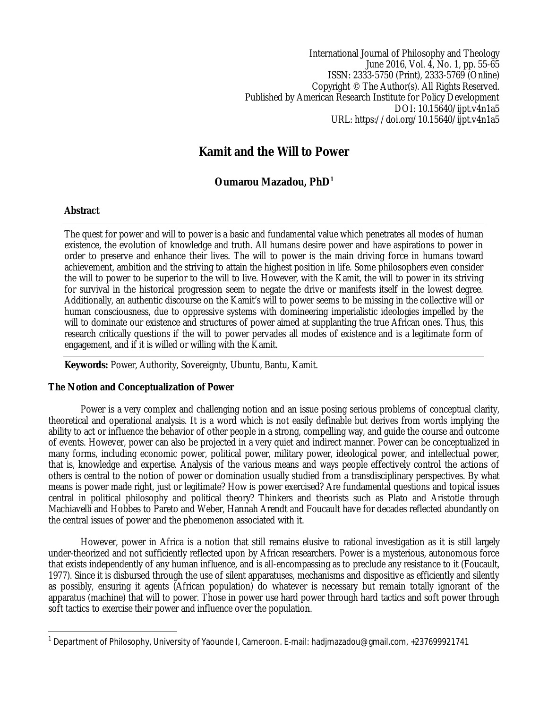International Journal of Philosophy and Theology June 2016, Vol. 4, No. 1, pp. 55-65 ISSN: 2333-5750 (Print), 2333-5769 (Online) Copyright © The Author(s). All Rights Reserved. Published by American Research Institute for Policy Development DOI: 10.15640/ijpt.v4n1a5 URL: https://doi.org/10.15640/ijpt.v4n1a5

# **Kamit and the Will to Power**

## **Oumarou Mazadou, PhD<sup>1</sup>**

## **Abstract**

The quest for power and will to power is a basic and fundamental value which penetrates all modes of human existence, the evolution of knowledge and truth. All humans desire power and have aspirations to power in order to preserve and enhance their lives. The will to power is the main driving force in humans toward achievement, ambition and the striving to attain the highest position in life. Some philosophers even consider the will to power to be superior to the will to live. However, with the Kamit, the will to power in its striving for survival in the historical progression seem to negate the drive or manifests itself in the lowest degree. Additionally, an authentic discourse on the Kamit's will to power seems to be missing in the collective will or human consciousness, due to oppressive systems with domineering imperialistic ideologies impelled by the will to dominate our existence and structures of power aimed at supplanting the true African ones. Thus, this research critically questions if the will to power pervades all modes of existence and is a legitimate form of engagement, and if it is willed or willing with the Kamit.

**Keywords:** Power, Authority, Sovereignty, Ubuntu, Bantu, Kamit.

## **The Notion and Conceptualization of Power**

Power is a very complex and challenging notion and an issue posing serious problems of conceptual clarity, theoretical and operational analysis. It is a word which is not easily definable but derives from words implying the ability to act or influence the behavior of other people in a strong, compelling way, and guide the course and outcome of events. However, power can also be projected in a very quiet and indirect manner. Power can be conceptualized in many forms, including economic power, political power, military power, ideological power, and intellectual power, that is, knowledge and expertise. Analysis of the various means and ways people effectively control the actions of others is central to the notion of power or domination usually studied from a transdisciplinary perspectives. By what means is power made right, just or legitimate? How is power exercised? Are fundamental questions and topical issues central in political philosophy and political theory? Thinkers and theorists such as Plato and Aristotle through Machiavelli and Hobbes to Pareto and Weber, Hannah Arendt and Foucault have for decades reflected abundantly on the central issues of power and the phenomenon associated with it.

However, power in Africa is a notion that still remains elusive to rational investigation as it is still largely under-theorized and not sufficiently reflected upon by African researchers. Power is a mysterious, autonomous force that exists independently of any human influence, and is all-encompassing as to preclude any resistance to it (Foucault, 1977). Since it is disbursed through the use of silent apparatuses, mechanisms and dispositive as efficiently and silently as possibly, ensuring it agents (African population) do whatever is necessary but remain totally ignorant of the apparatus (machine) that will to power. Those in power use hard power through hard tactics and soft power through soft tactics to exercise their power and influence over the population.

 $\overline{a}$ 1 Department of Philosophy, University of Yaounde I, Cameroon. E-mail: hadjmazadou@gmail.com, +237699921741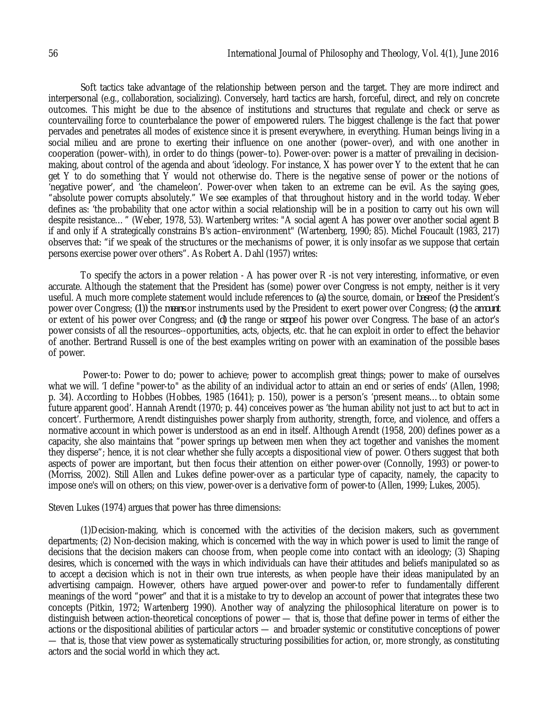Soft tactics take advantage of the relationship between person and the target. They are more indirect and interpersonal (e.g., collaboration, socializing). Conversely, hard tactics are harsh, forceful, direct, and rely on concrete outcomes. This might be due to the absence of institutions and structures that regulate and check or serve as countervailing force to counterbalance the power of empowered rulers. The biggest challenge is the fact that power pervades and penetrates all modes of existence since it is present everywhere, in everything. Human beings living in a social milieu and are prone to exerting their influence on one another (power–over), and with one another in cooperation (power–with), in order to do things (power–to). Power-over: power is a matter of prevailing in decisionmaking, about control of the agenda and about 'ideology. For instance, X has power over Y to the extent that he can get Y to do something that Y would not otherwise do. There is the negative sense of power or the notions of 'negative power', and 'the chameleon'. Power-over when taken to an extreme can be evil. As the saying goes, "absolute power corrupts absolutely." We see examples of that throughout history and in the world today. Weber defines as: 'the probability that one actor within a social relationship will be in a position to carry out his own will despite resistance…" (Weber, 1978, 53). Wartenberg writes: "A social agent A has power over another social agent B if and only if A strategically constrains B's action–environment" (Wartenberg, 1990; 85). Michel Foucault (1983, 217) observes that: "if we speak of the structures or the mechanisms of power, it is only insofar as we suppose that certain persons exercise power over others". As Robert A. Dahl (1957) writes:

To specify the actors in a power relation - A has power over R -is not very interesting, informative, or even accurate. Although the statement that the President has (some) power over Congress is not empty, neither is it very useful. A much more complete statement would include references to *(a)* the source, domain, or *base* of the President's power over Congress; *(1))* the *means* or instruments used by the President to exert power over Congress; *(c)* the *amount*  or extent of his power over Congress; and *(d)* the range or *scope* of his power over Congress. The base of an actor's power consists of all the resources--opportunities, acts, objects, etc. that he can exploit in order to effect the behavior of another. Bertrand Russell is one of the best examples writing on power with an examination of the possible bases of power.

Power-to: Power to do; power to achieve; power to accomplish great things; power to make of ourselves what we will. 'I define "power-to" as the ability of an individual actor to attain an end or series of ends' (Allen, 1998; p. 34). According to Hobbes (Hobbes, 1985 (1641); p. 150), power is a person's 'present means…to obtain some future apparent good'. Hannah Arendt (1970; p. 44) conceives power as 'the human ability not just to act but to act in concert'. Furthermore, Arendt distinguishes power sharply from authority, strength, force, and violence, and offers a normative account in which power is understood as an end in itself. Although Arendt (1958, 200) defines power as a capacity, she also maintains that "power springs up between men when they act together and vanishes the moment they disperse"; hence, it is not clear whether she fully accepts a dispositional view of power. Others suggest that both aspects of power are important, but then focus their attention on either power-over (Connolly, 1993) or power-to (Morriss, 2002). Still Allen and Lukes define power-over as a particular type of capacity, namely, the capacity to impose one's will on others; on this view, power-over is a derivative form of power-to (Allen, 1999; Lukes, 2005).

Steven Lukes (1974) argues that power has three dimensions:

(1)Decision-making, which is concerned with the activities of the decision makers, such as government departments; (2) Non-decision making, which is concerned with the way in which power is used to limit the range of decisions that the decision makers can choose from, when people come into contact with an ideology; (3) Shaping desires, which is concerned with the ways in which individuals can have their attitudes and beliefs manipulated so as to accept a decision which is not in their own true interests, as when people have their ideas manipulated by an advertising campaign. However, others have argued power-over and power-to refer to fundamentally different meanings of the word "power" and that it is a mistake to try to develop an account of power that integrates these two concepts (Pitkin, 1972; Wartenberg 1990). Another way of analyzing the philosophical literature on power is to distinguish between action-theoretical conceptions of power — that is, those that define power in terms of either the actions or the dispositional abilities of particular actors — and broader systemic or constitutive conceptions of power — that is, those that view power as systematically structuring possibilities for action, or, more strongly, as constituting actors and the social world in which they act.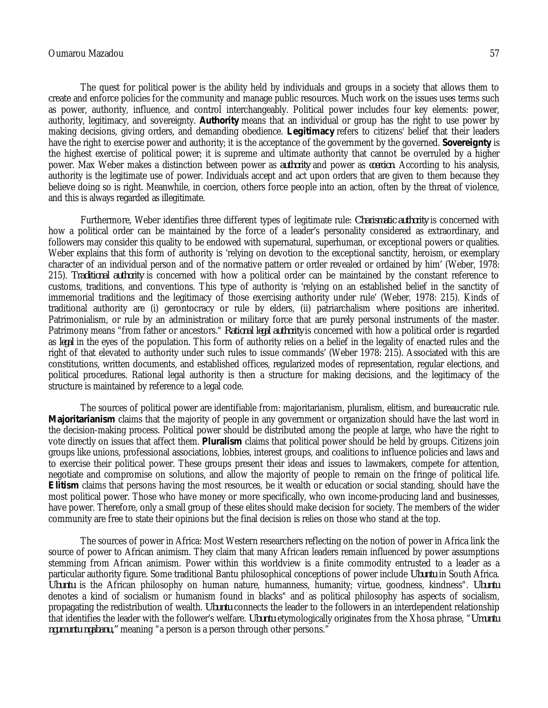The quest for political power is the ability held by individuals and groups in a society that allows them to create and enforce policies for the community and manage public resources. Much work on the issues uses terms such as power, authority, influence, and control interchangeably. Political power includes four key elements: power, authority, legitimacy, and sovereignty. *Authority* means that an individual or group has the right to use power by making decisions, giving orders, and demanding obedience. *Legitimacy* refers to citizens' belief that their leaders have the right to exercise power and authority; it is the acceptance of the government by the governed. *Sovereignty* is the highest exercise of political power; it is supreme and ultimate authority that cannot be overruled by a higher power. Max Weber makes a distinction between power as *authority* and power as *coercion*. According to his analysis, authority is the legitimate use of power. Individuals accept and act upon orders that are given to them because they believe doing so is right. Meanwhile, in coercion, others force people into an action, often by the threat of violence, and this is always regarded as illegitimate.

Furthermore, Weber identifies three different types of legitimate rule: *Charismatic authority* is concerned with how a political order can be maintained by the force of a leader's personality considered as extraordinary, and followers may consider this quality to be endowed with supernatural, superhuman, or exceptional powers or qualities. Weber explains that this form of authority is 'relying on devotion to the exceptional sanctity, heroism, or exemplary character of an individual person and of the normative pattern or order revealed or ordained by him' (Weber, 1978: 215). *Traditional authority* is concerned with how a political order can be maintained by the constant reference to customs, traditions, and conventions. This type of authority is 'relying on an established belief in the sanctity of immemorial traditions and the legitimacy of those exercising authority under rule' (Weber, 1978: 215). Kinds of traditional authority are (i) gerontocracy or rule by elders, (ii) patriarchalism where positions are inherited. Patrimonialism, or rule by an administration or military force that are purely personal instruments of the master. Patrimony means "from father or ancestors." *Rational legal authority* is concerned with how a political order is regarded as *legal* in the eyes of the population. This form of authority relies on a belief in the legality of enacted rules and the right of that elevated to authority under such rules to issue commands' (Weber 1978: 215). Associated with this are constitutions, written documents, and established offices, regularized modes of representation, regular elections, and political procedures. Rational legal authority is then a structure for making decisions, and the legitimacy of the structure is maintained by reference to a legal code.

The sources of political power are identifiable from: majoritarianism, pluralism, elitism, and bureaucratic rule. *Majoritarianism* claims that the majority of people in any government or organization should have the last word in the decision-making process. Political power should be distributed among the people at large, who have the right to vote directly on issues that affect them. *Pluralism* claims that political power should be held by groups. Citizens join groups like unions, professional associations, lobbies, interest groups, and coalitions to influence policies and laws and to exercise their political power. These groups present their ideas and issues to lawmakers, compete for attention, negotiate and compromise on solutions, and allow the majority of people to remain on the fringe of political life. *Elitism* claims that persons having the most resources, be it wealth or education or social standing, should have the most political power. Those who have money or more specifically, who own income-producing land and businesses, have power. Therefore, only a small group of these elites should make decision for society. The members of the wider community are free to state their opinions but the final decision is relies on those who stand at the top.

The sources of power in Africa: Most Western researchers reflecting on the notion of power in Africa link the source of power to African animism. They claim that many African leaders remain influenced by power assumptions stemming from African animism. Power within this worldview is a finite commodity entrusted to a leader as a particular authority figure. Some traditional Bantu philosophical conceptions of power include *Ubuntu* in South Africa. *Ubuntu* is the African philosophy on human nature, humanness, humanity; virtue, goodness, kindness". *Ubuntu* denotes a kind of socialism or humanism found in blacks" and as political philosophy has aspects of socialism, propagating the redistribution of wealth. *Ubuntu* connects the leader to the followers in an interdependent relationship that identifies the leader with the follower's welfare. *Ubuntu* etymologically originates from the Xhosa phrase, "*Umuntu ngumuntu ngabanu,"* meaning "a person is a person through other persons."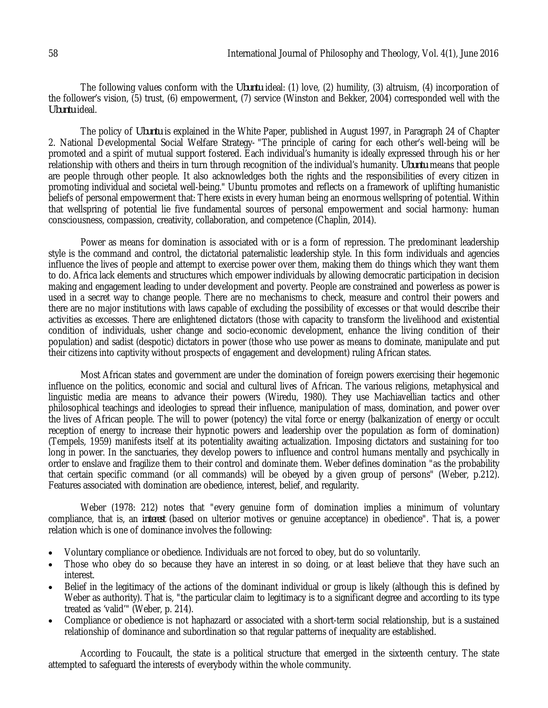The following values conform with the *Ubuntu* ideal: (1) love, (2) humility, (3) altruism, (4) incorporation of the follower's vision, (5) trust, (6) empowerment, (7) service (Winston and Bekker, 2004) corresponded well with the *Ubuntu* ideal.

The policy of *Ubuntu* is explained in the White Paper, published in August 1997, in Paragraph 24 of Chapter 2. National Developmental Social Welfare Strategy- "The principle of caring for each other's well-being will be promoted and a spirit of mutual support fostered. Each individual's humanity is ideally expressed through his or her relationship with others and theirs in turn through recognition of the individual's humanity. *Ubuntu* means that people are people through other people. It also acknowledges both the rights and the responsibilities of every citizen in promoting individual and societal well-being." Ubuntu promotes and reflects on a framework of uplifting humanistic beliefs of personal empowerment that: There exists in every human being an enormous wellspring of potential. Within that wellspring of potential lie five fundamental sources of personal empowerment and social harmony: human consciousness, compassion, creativity, collaboration, and competence (Chaplin, 2014).

Power as means for domination is associated with or is a form of repression. The predominant leadership style is the command and control, the dictatorial paternalistic leadership style. In this form individuals and agencies influence the lives of people and attempt to exercise power over them, making them do things which they want them to do. Africa lack elements and structures which empower individuals by allowing democratic participation in decision making and engagement leading to under development and poverty. People are constrained and powerless as power is used in a secret way to change people. There are no mechanisms to check, measure and control their powers and there are no major institutions with laws capable of excluding the possibility of excesses or that would describe their activities as excesses. There are enlightened dictators (those with capacity to transform the livelihood and existential condition of individuals, usher change and socio-economic development, enhance the living condition of their population) and sadist (despotic) dictators in power (those who use power as means to dominate, manipulate and put their citizens into captivity without prospects of engagement and development) ruling African states.

Most African states and government are under the domination of foreign powers exercising their hegemonic influence on the politics, economic and social and cultural lives of African. The various religions, metaphysical and linguistic media are means to advance their powers (Wiredu, 1980). They use Machiavellian tactics and other philosophical teachings and ideologies to spread their influence, manipulation of mass, domination, and power over the lives of African people. The will to power (potency) the vital force or energy (balkanization of energy or occult reception of energy to increase their hypnotic powers and leadership over the population as form of domination) (Tempels, 1959) manifests itself at its potentiality awaiting actualization. Imposing dictators and sustaining for too long in power. In the sanctuaries, they develop powers to influence and control humans mentally and psychically in order to enslave and fragilize them to their control and dominate them. Weber defines domination "as the probability that certain specific command (or all commands) will be obeyed by a given group of persons" (Weber, p.212). Features associated with domination are obedience, interest, belief, and regularity.

Weber (1978: 212) notes that "every genuine form of domination implies a minimum of voluntary compliance, that is, an *interest* (based on ulterior motives or genuine acceptance) in obedience". That is, a power relation which is one of dominance involves the following:

- Voluntary compliance or obedience. Individuals are not forced to obey, but do so voluntarily.
- Those who obey do so because they have an interest in so doing, or at least believe that they have such an interest.
- Belief in the legitimacy of the actions of the dominant individual or group is likely (although this is defined by Weber as authority). That is, "the particular claim to legitimacy is to a significant degree and according to its type treated as 'valid'" (Weber, p. 214).
- Compliance or obedience is not haphazard or associated with a short-term social relationship, but is a sustained relationship of dominance and subordination so that regular patterns of inequality are established.

According to Foucault, the state is a political structure that emerged in the sixteenth century. The state attempted to safeguard the interests of everybody within the whole community.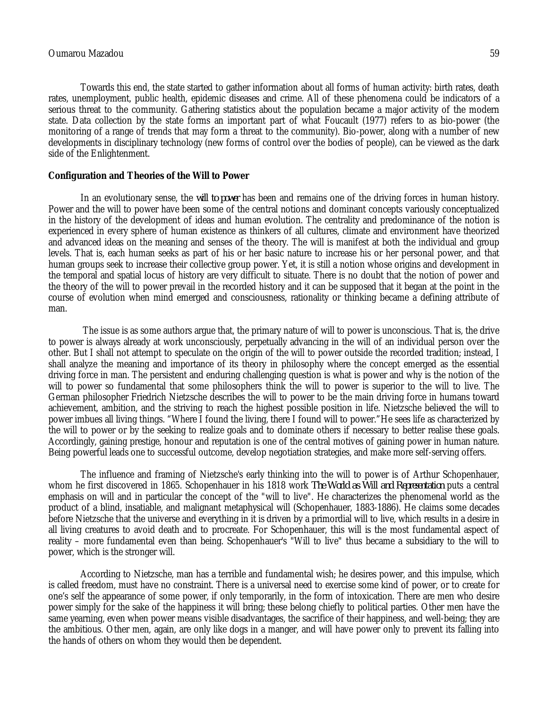Towards this end, the state started to gather information about all forms of human activity: birth rates, death rates, unemployment, public health, epidemic diseases and crime. All of these phenomena could be indicators of a serious threat to the community. Gathering statistics about the population became a major activity of the modern state. Data collection by the state forms an important part of what Foucault (1977) refers to as bio-power (the monitoring of a range of trends that may form a threat to the community). Bio-power, along with a number of new developments in disciplinary technology (new forms of control over the bodies of people), can be viewed as the dark side of the Enlightenment.

#### **Configuration and Theories of the Will to Power**

In an evolutionary sense, the *will to power* has been and remains one of the driving forces in human history. Power and the will to power have been some of the central notions and dominant concepts variously conceptualized in the history of the development of ideas and human evolution. The centrality and predominance of the notion is experienced in every sphere of human existence as thinkers of all cultures, climate and environment have theorized and advanced ideas on the meaning and senses of the theory. The will is manifest at both the individual and group levels. That is, each human seeks as part of his or her basic nature to increase his or her personal power, and that human groups seek to increase their collective group power. Yet, it is still a notion whose origins and development in the temporal and spatial locus of history are very difficult to situate. There is no doubt that the notion of power and the theory of the will to power prevail in the recorded history and it can be supposed that it began at the point in the course of evolution when mind emerged and consciousness, rationality or thinking became a defining attribute of man.

The issue is as some authors argue that, the primary nature of will to power is unconscious. That is, the drive to power is always already at work unconsciously, perpetually advancing in the will of an individual person over the other. But I shall not attempt to speculate on the origin of the will to power outside the recorded tradition; instead, I shall analyze the meaning and importance of its theory in philosophy where the concept emerged as the essential driving force in man. The persistent and enduring challenging question is what is power and why is the notion of the will to power so fundamental that some philosophers think the will to power is superior to the will to live. The German philosopher Friedrich Nietzsche describes the will to power to be the main driving force in humans toward achievement, ambition, and the striving to reach the highest possible position in life. Nietzsche believed the will to power imbues all living things. "Where I found the living, there I found will to power."He sees life as characterized by the will to power or by the seeking to realize goals and to dominate others if necessary to better realise these goals. Accordingly, gaining prestige, honour and reputation is one of the central motives of gaining power in human nature. Being powerful leads one to successful outcome, develop negotiation strategies, and make more self-serving offers.

The influence and framing of Nietzsche's early thinking into the will to power is of Arthur Schopenhauer, whom he first discovered in 1865. Schopenhauer in his 1818 work *The World as Will and Representation* puts a central emphasis on will and in particular the concept of the "will to live". He characterizes the phenomenal world as the product of a blind, insatiable, and malignant metaphysical will (Schopenhauer, 1883-1886). He claims some decades before Nietzsche that the universe and everything in it is driven by a primordial will to live, which results in a desire in all living creatures to avoid death and to procreate. For Schopenhauer, this will is the most fundamental aspect of reality – more fundamental even than being. Schopenhauer's "Will to live" thus became a subsidiary to the will to power, which is the stronger will.

According to Nietzsche, man has a terrible and fundamental wish; he desires power, and this impulse, which is called freedom, must have no constraint. There is a universal need to exercise some kind of power, or to create for one's self the appearance of some power, if only temporarily, in the form of intoxication. There are men who desire power simply for the sake of the happiness it will bring; these belong chiefly to political parties. Other men have the same yearning, even when power means visible disadvantages, the sacrifice of their happiness, and well-being; they are the ambitious. Other men, again, are only like dogs in a manger, and will have power only to prevent its falling into the hands of others on whom they would then be dependent.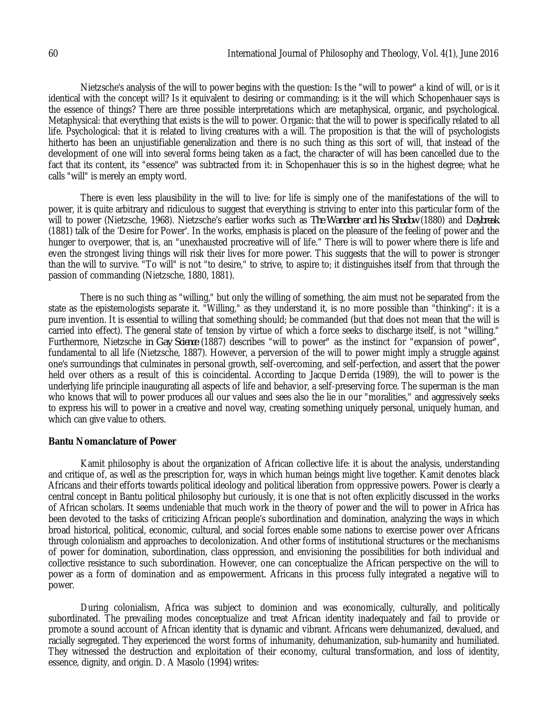Nietzsche's analysis of the will to power begins with the question: Is the "will to power" a kind of will, or is it identical with the concept will? Is it equivalent to desiring or commanding; is it the will which Schopenhauer says is the essence of things? There are three possible interpretations which are metaphysical, organic, and psychological. Metaphysical: that everything that exists is the will to power. Organic: that the will to power is specifically related to all life. Psychological: that it is related to living creatures with a will. The proposition is that the will of psychologists hitherto has been an unjustifiable generalization and there is no such thing as this sort of will, that instead of the development of one will into several forms being taken as a fact, the character of will has been cancelled due to the fact that its content, its "essence" was subtracted from it: in Schopenhauer this is so in the highest degree; what he calls "will" is merely an empty word.

There is even less plausibility in the will to live: for life is simply one of the manifestations of the will to power, it is quite arbitrary and ridiculous to suggest that everything is striving to enter into this particular form of the will to power (Nietzsche, 1968). Nietzsche's earlier works such as *The Wanderer and his Shadow* (1880) and *Daybreak* (1881) talk of the 'Desire for Power'. In the works, emphasis is placed on the pleasure of the feeling of power and the hunger to overpower, that is, an "unexhausted procreative will of life." There is will to power where there is life and even the strongest living things will risk their lives for more power. This suggests that the will to power is stronger than the will to survive. "To will" is not "to desire," to strive, to aspire to; it distinguishes itself from that through the passion of commanding (Nietzsche, 1880, 1881).

There is no such thing as "willing," but only the willing of something, the aim must not be separated from the state as the epistemologists separate it. "Willing," as they understand it, is no more possible than "thinking": it is a pure invention. It is essential to willing that something should; be commanded (but that does not mean that the will is carried into effect). The general state of tension by virtue of which a force seeks to discharge itself, is not "willing." Furthermore, Nietzsche *in Gay Science* (1887) describes "will to power" as the instinct for "expansion of power", fundamental to all life (Nietzsche, 1887). However, a perversion of the will to power might imply a struggle against one's surroundings that culminates in personal growth, self-overcoming, and self-perfection, and assert that the power held over others as a result of this is coincidental. According to Jacque Derrida (1989), the will to power is the underlying life principle inaugurating all aspects of life and behavior, a self-preserving force. The superman is the man who knows that will to power produces all our values and sees also the lie in our "moralities," and aggressively seeks to express his will to power in a creative and novel way, creating something uniquely personal, uniquely human, and which can give value to others.

#### **Bantu Nomanclature of Power**

Kamit philosophy is about the organization of African collective life: it is about the analysis, understanding and critique of, as well as the prescription for, ways in which human beings might live together. Kamit denotes black Africans and their efforts towards political ideology and political liberation from oppressive powers. Power is clearly a central concept in Bantu political philosophy but curiously, it is one that is not often explicitly discussed in the works of African scholars. It seems undeniable that much work in the theory of power and the will to power in Africa has been devoted to the tasks of criticizing African people's subordination and domination, analyzing the ways in which broad historical, political, economic, cultural, and social forces enable some nations to exercise power over Africans through colonialism and approaches to decolonization. And other forms of institutional structures or the mechanisms of power for domination, subordination, class oppression, and envisioning the possibilities for both individual and collective resistance to such subordination. However, one can conceptualize the African perspective on the will to power as a form of domination and as empowerment. Africans in this process fully integrated a negative will to power.

During colonialism, Africa was subject to dominion and was economically, culturally, and politically subordinated. The prevailing modes conceptualize and treat African identity inadequately and fail to provide or promote a sound account of African identity that is dynamic and vibrant. Africans were dehumanized, devalued, and racially segregated. They experienced the worst forms of inhumanity, dehumanization, sub-humanity and humiliated. They witnessed the destruction and exploitation of their economy, cultural transformation, and loss of identity, essence, dignity, and origin. D. A Masolo (1994) writes: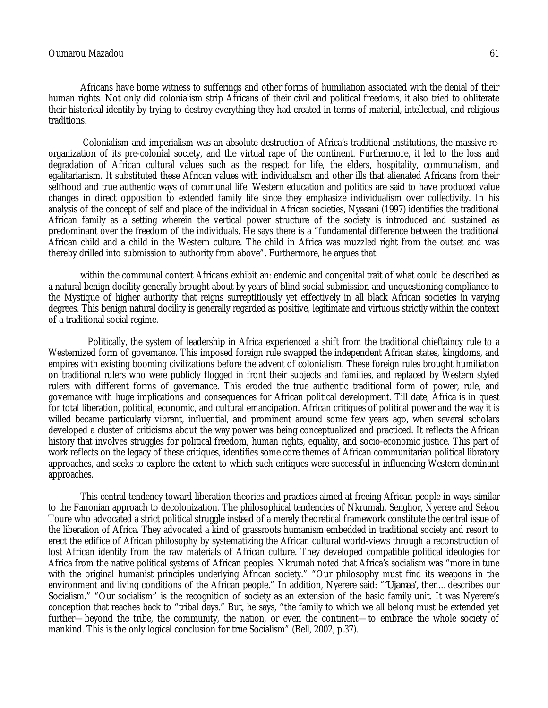Africans have borne witness to sufferings and other forms of humiliation associated with the denial of their human rights. Not only did colonialism strip Africans of their civil and political freedoms, it also tried to obliterate their historical identity by trying to destroy everything they had created in terms of material, intellectual, and religious traditions*.*

Colonialism and imperialism was an absolute destruction of Africa's traditional institutions, the massive reorganization of its pre-colonial society, and the virtual rape of the continent. Furthermore, it led to the loss and degradation of African cultural values such as the respect for life, the elders, hospitality, communalism, and egalitarianism. It substituted these African values with individualism and other ills that alienated Africans from their selfhood and true authentic ways of communal life. Western education and politics are said to have produced value changes in direct opposition to extended family life since they emphasize individualism over collectivity. In his analysis of the concept of self and place of the individual in African societies, Nyasani (1997) identifies the traditional African family as a setting wherein the vertical power structure of the society is introduced and sustained as predominant over the freedom of the individuals. He says there is a "fundamental difference between the traditional African child and a child in the Western culture. The child in Africa was muzzled right from the outset and was thereby drilled into submission to authority from above". Furthermore, he argues that:

within the communal context Africans exhibit an: endemic and congenital trait of what could be described as a natural benign docility generally brought about by years of blind social submission and unquestioning compliance to the Mystique of higher authority that reigns surreptitiously yet effectively in all black African societies in varying degrees. This benign natural docility is generally regarded as positive, legitimate and virtuous strictly within the context of a traditional social regime.

Politically, the system of leadership in Africa experienced a shift from the traditional chieftaincy rule to a Westernized form of governance. This imposed foreign rule swapped the independent African states, kingdoms, and empires with existing booming civilizations before the advent of colonialism. These foreign rules brought humiliation on traditional rulers who were publicly flogged in front their subjects and families, and replaced by Western styled rulers with different forms of governance. This eroded the true authentic traditional form of power, rule, and governance with huge implications and consequences for African political development. Till date, Africa is in quest for total liberation, political, economic, and cultural emancipation. African critiques of political power and the way it is willed became particularly vibrant, influential, and prominent around some few years ago, when several scholars developed a cluster of criticisms about the way power was being conceptualized and practiced. It reflects the African history that involves struggles for political freedom, human rights, equality, and socio-economic justice. This part of work reflects on the legacy of these critiques, identifies some core themes of African communitarian political libratory approaches, and seeks to explore the extent to which such critiques were successful in influencing Western dominant approaches.

This central tendency toward liberation theories and practices aimed at freeing African people in ways similar to the Fanonian approach to decolonization. The philosophical tendencies of Nkrumah, Senghor, Nyerere and Sekou Toure who advocated a strict political struggle instead of a merely theoretical framework constitute the central issue of the liberation of Africa. They advocated a kind of grassroots humanism embedded in traditional society and resort to erect the edifice of African philosophy by systematizing the African cultural world-views through a reconstruction of lost African identity from the raw materials of African culture. They developed compatible political ideologies for Africa from the native political systems of African peoples. Nkrumah noted that Africa's socialism was "more in tune with the original humanist principles underlying African society." "Our philosophy must find its weapons in the environment and living conditions of the African people." In addition, Nyerere said: "*'Ujamaa',* then…describes our Socialism." "Our socialism" is the recognition of society as an extension of the basic family unit. It was Nyerere's conception that reaches back to "tribal days." But, he says, "the family to which we all belong must be extended yet further—beyond the tribe, the community, the nation, or even the continent—to embrace the whole society of mankind. This is the only logical conclusion for true Socialism" (Bell, 2002, p.37).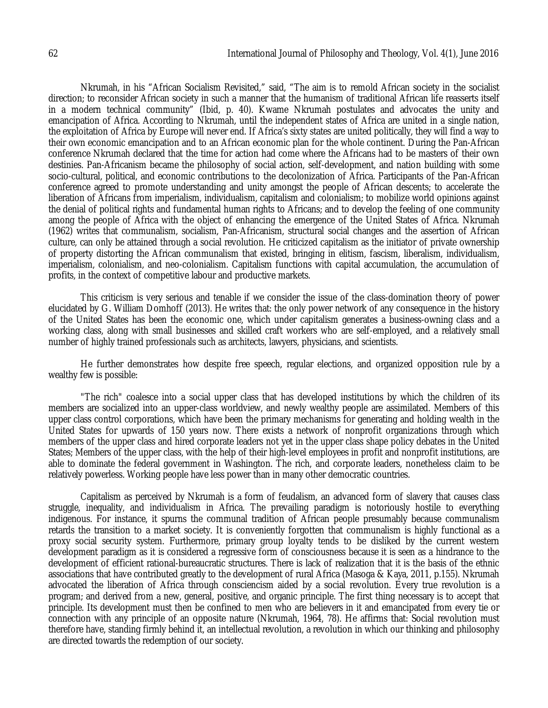Nkrumah, in his "African Socialism Revisited," said, "The aim is to remold African society in the socialist direction; to reconsider African society in such a manner that the humanism of traditional African life reasserts itself in a modern technical community" (Ibid, p. 40). Kwame Nkrumah postulates and advocates the unity and emancipation of Africa. According to Nkrumah, until the independent states of Africa are united in a single nation, the exploitation of Africa by Europe will never end. If Africa's sixty states are united politically, they will find a way to their own economic emancipation and to an African economic plan for the whole continent. During the Pan-African conference Nkrumah declared that the time for action had come where the Africans had to be masters of their own destinies. Pan-Africanism became the philosophy of social action, self-development, and nation building with some socio-cultural, political, and economic contributions to the decolonization of Africa. Participants of the Pan-African conference agreed to promote understanding and unity amongst the people of African descents; to accelerate the liberation of Africans from imperialism, individualism, capitalism and colonialism; to mobilize world opinions against the denial of political rights and fundamental human rights to Africans; and to develop the feeling of one community among the people of Africa with the object of enhancing the emergence of the United States of Africa. Nkrumah (1962) writes that communalism, socialism, Pan-Africanism, structural social changes and the assertion of African culture, can only be attained through a social revolution. He criticized capitalism as the initiator of private ownership of property distorting the African communalism that existed, bringing in elitism, fascism, liberalism, individualism, imperialism, colonialism, and neo-colonialism. Capitalism functions with capital accumulation, the accumulation of profits, in the context of competitive labour and productive markets.

This criticism is very serious and tenable if we consider the issue of the class-domination theory of power elucidated by G. William Domhoff (2013). He writes that: the only power network of any consequence in the history of the United States has been the economic one, which under capitalism generates a business-owning class and a working class, along with small businesses and skilled craft workers who are self-employed, and a relatively small number of highly trained professionals such as architects, lawyers, physicians, and scientists.

He further demonstrates how despite free speech, regular elections, and organized opposition rule by a wealthy few is possible:

"The rich" coalesce into a social upper class that has developed institutions by which the children of its members are socialized into an upper-class worldview, and newly wealthy people are assimilated. Members of this upper class control corporations, which have been the primary mechanisms for generating and holding wealth in the United States for upwards of 150 years now. There exists a network of nonprofit organizations through which members of the upper class and hired corporate leaders not yet in the upper class shape policy debates in the United States; Members of the upper class, with the help of their high-level employees in profit and nonprofit institutions, are able to dominate the federal government in Washington. The rich, and corporate leaders, nonetheless claim to be relatively powerless. Working people have less power than in many other democratic countries.

Capitalism as perceived by Nkrumah is a form of feudalism, an advanced form of slavery that causes class struggle, inequality, and individualism in Africa. The prevailing paradigm is notoriously hostile to everything indigenous. For instance, it spurns the communal tradition of African people presumably because communalism retards the transition to a market society. It is conveniently forgotten that communalism is highly functional as a proxy social security system. Furthermore, primary group loyalty tends to be disliked by the current western development paradigm as it is considered a regressive form of consciousness because it is seen as a hindrance to the development of efficient rational-bureaucratic structures. There is lack of realization that it is the basis of the ethnic associations that have contributed greatly to the development of rural Africa (Masoga & Kaya, 2011, p.155). Nkrumah advocated the liberation of Africa through consciencism aided by a social revolution. Every true revolution is a program; and derived from a new, general, positive, and organic principle. The first thing necessary is to accept that principle. Its development must then be confined to men who are believers in it and emancipated from every tie or connection with any principle of an opposite nature (Nkrumah, 1964, 78). He affirms that: Social revolution must therefore have, standing firmly behind it, an intellectual revolution, a revolution in which our thinking and philosophy are directed towards the redemption of our society.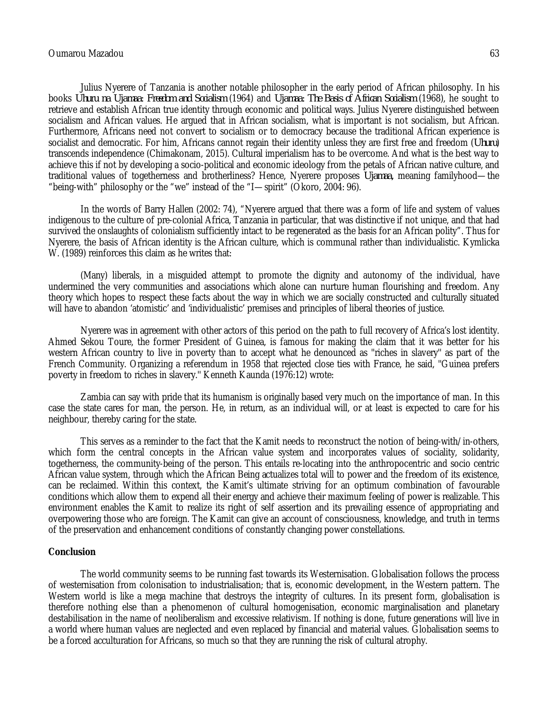Julius Nyerere of Tanzania is another notable philosopher in the early period of African philosophy. In his books *Uhuru na Ujamaa: Freedom and Socialism* (1964) and *Ujamaa: The Basis of African Socialism* (1968), he sought to retrieve and establish African true identity through economic and political ways. Julius Nyerere distinguished between socialism and African values. He argued that in African socialism, what is important is not socialism, but African. Furthermore, Africans need not convert to socialism or to democracy because the traditional African experience is socialist and democratic. For him, Africans cannot regain their identity unless they are first free and freedom (*Uhuru*) transcends independence (Chimakonam, 2015). Cultural imperialism has to be overcome. And what is the best way to achieve this if not by developing a socio-political and economic ideology from the petals of African native culture, and traditional values of togetherness and brotherliness? Hence, Nyerere proposes *Ujamaa,* meaning familyhood—the "being-with" philosophy or the "we" instead of the "I—spirit" (Okoro, 2004: 96).

In the words of Barry Hallen (2002: 74), "Nyerere argued that there was a form of life and system of values indigenous to the culture of pre-colonial Africa, Tanzania in particular, that was distinctive if not unique, and that had survived the onslaughts of colonialism sufficiently intact to be regenerated as the basis for an African polity". Thus for Nyerere, the basis of African identity is the African culture, which is communal rather than individualistic. Kymlicka W. (1989) reinforces this claim as he writes that:

(Many) liberals, in a misguided attempt to promote the dignity and autonomy of the individual, have undermined the very communities and associations which alone can nurture human flourishing and freedom. Any theory which hopes to respect these facts about the way in which we are socially constructed and culturally situated will have to abandon 'atomistic' and 'individualistic' premises and principles of liberal theories of justice.

Nyerere was in agreement with other actors of this period on the path to full recovery of Africa's lost identity. Ahmed Sekou Toure, the former President of Guinea, is famous for making the claim that it was better for his western African country to live in poverty than to accept what he denounced as ''riches in slavery'' as part of the French Community. Organizing a referendum in 1958 that rejected close ties with France, he said, ''Guinea prefers poverty in freedom to riches in slavery.'' Kenneth Kaunda (1976:12) wrote:

Zambia can say with pride that its humanism is originally based very much on the importance of man. In this case the state cares for man, the person. He, in return, as an individual will, or at least is expected to care for his neighbour, thereby caring for the state.

This serves as a reminder to the fact that the Kamit needs to reconstruct the notion of being-with/in-others, which form the central concepts in the African value system and incorporates values of sociality, solidarity, togetherness, the community-being of the person. This entails re-locating into the anthropocentric and socio centric African value system, through which the African Being actualizes total will to power and the freedom of its existence, can be reclaimed. Within this context, the Kamit's ultimate striving for an optimum combination of favourable conditions which allow them to expend all their energy and achieve their maximum feeling of power is realizable. This environment enables the Kamit to realize its right of self assertion and its prevailing essence of appropriating and overpowering those who are foreign. The Kamit can give an account of consciousness, knowledge, and truth in terms of the preservation and enhancement conditions of constantly changing power constellations.

#### **Conclusion**

The world community seems to be running fast towards its Westernisation. Globalisation follows the process of westernisation from colonisation to industrialisation; that is, economic development, in the Western pattern. The Western world is like a mega machine that destroys the integrity of cultures. In its present form, globalisation is therefore nothing else than a phenomenon of cultural homogenisation, economic marginalisation and planetary destabilisation in the name of neoliberalism and excessive relativism. If nothing is done, future generations will live in a world where human values are neglected and even replaced by financial and material values. Globalisation seems to be a forced acculturation for Africans, so much so that they are running the risk of cultural atrophy.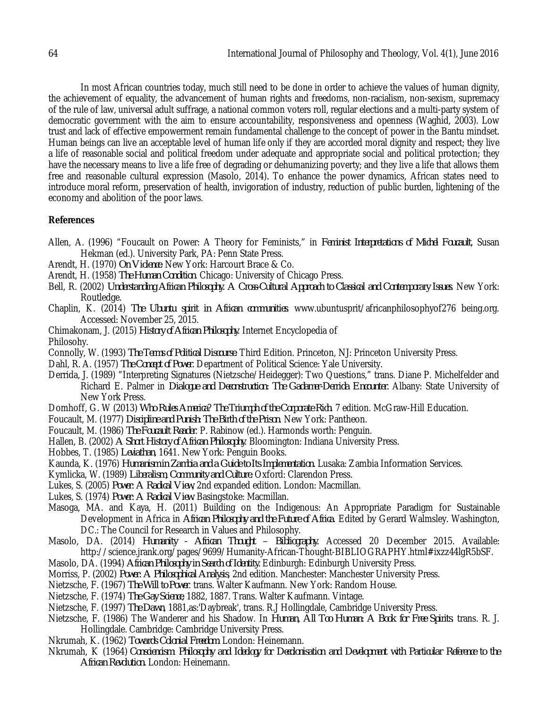In most African countries today, much still need to be done in order to achieve the values of human dignity, the achievement of equality, the advancement of human rights and freedoms, non-racialism, non-sexism, supremacy of the rule of law, universal adult suffrage, a national common voters roll, regular elections and a multi-party system of democratic government with the aim to ensure accountability, responsiveness and openness (Waghid, 2003). Low trust and lack of effective empowerment remain fundamental challenge to the concept of power in the Bantu mindset. Human beings can live an acceptable level of human life only if they are accorded moral dignity and respect; they live a life of reasonable social and political freedom under adequate and appropriate social and political protection; they have the necessary means to live a life free of degrading or dehumanizing poverty; and they live a life that allows them free and reasonable cultural expression (Masolo, 2014)*.* To enhance the power dynamics, African states need to introduce moral reform, preservation of health, invigoration of industry, reduction of public burden, lightening of the economy and abolition of the poor laws.

### **References**

- Allen, A. (1996) "Foucault on Power: A Theory for Feminists," in *Feminist Interpretations of Michel Foucault*, Susan Hekman (ed.). University Park, PA: Penn State Press.
- Arendt, H. (1970) *On Violence*. New York: Harcourt Brace & Co.
- Arendt, H. (1958) *The Human Condition*. Chicago: University of Chicago Press.
- Bell, R. (2002) *Understanding African Philosophy. A Cross-Cultural Approach to Classical and Contemporary Issues*. New York: Routledge.
- Chaplin, K. (2014) *The Ubuntu spirit in African communities*. www.ubuntusprit/africanphilosophyof276 being.org. Accessed: November 25, 2015.
- Chimakonam, J. (2015) *History of African Philosophy*. Internet Encyclopedia of
- Philosohy.
- Connolly, W. (1993) *The Terms of Political Discourse*. Third Edition. Princeton, NJ: Princeton University Press.
- Dahl, R. A. (1957) *The Concept of Power.* Department of Political Science: Yale University.
- Derrida, J. (1989) "Interpreting Signatures (Nietzsche/Heidegger): Two Questions," trans. Diane P. Michelfelder and Richard E. Palmer in *Dialogue and Deconstruction: The Gadamer-Derrida Encounter.* Albany: State University of New York Press.
- Domhoff, G. W (2013) *Who Rules America*? *The Triumph of the Corporate Rich*. 7 edition. McGraw-Hill Education.
- Foucault, M. (1977) *Discipline and Punish: The Birth of the Prison*. New York: Pantheon.
- Foucault, M. (1986) *The Foucault Reader*. P. Rabinow (ed.). Harmonds worth: Penguin.
- Hallen, B. (2002) *A Short History of African Philosophy*. Bloomington: Indiana University Press.
- Hobbes, T. (1985) *Leviathan*, 1641. New York: Penguin Books.
- Kaunda, K. (1976) *Humanism in Zambia and a Guide to Its Implementation.* Lusaka: Zambia Information Services.
- Kymlicka, W. (1989) *Liberalism, Community and Culture.* Oxford: Clarendon Press.
- Lukes, S. (2005) *Power: A Radical View*, 2nd expanded edition. London: Macmillan.
- Lukes, S. (1974) *Power: A Radical View*. Basingstoke: Macmillan.
- Masoga, MA. and Kaya, H. (2011) Building on the Indigenous: An Appropriate Paradigm for Sustainable Development in Africa in *African Philosophy and the Future of Africa*. Edited by Gerard Walmsley. Washington, DC.: The Council for Research in Values and Philosophy.
- Masolo, DA. (2014) *Humanity - African Thought – Bibliography.* Accessed 20 December 2015. Available: http://science.jrank.org/pages/9699/Humanity-African-Thought-BIBLIOGRAPHY.html#ixzz44lgR5bSF.
- Masolo, DA. (1994) *African Philosophy in Search of Identity.* Edinburgh: Edinburgh University Press.
- Morriss, P. (2002) *Power: A Philosophical Analysis*, 2nd edition. Manchester: Manchester University Press.
- Nietzsche, F. (1967) *The Will to Power*. trans. Walter Kaufmann. New York: Random House.
- Nietzsche, F. (1974) *The Gay Science*, 1882, 1887. Trans. Walter Kaufmann. Vintage.
- Nietzsche, F. (1997) *The Dawn*, 1881,as:'Daybreak', trans. R.J Hollingdale, Cambridge University Press.
- Nietzsche, F. (1986) The Wanderer and his Shadow. In *Human, All Too Human: A Book for Free Spirits*. trans. R. J. Hollingdale. Cambridge: Cambridge University Press.
- Nkrumah, K. (1962) *Towards Colonial Freedom*. London: Heinemann.
- Nkrumah, K (1964) *Consciencism: Philosophy and Ideology for Decolonisation and Development with Particular Reference to the African Revolution.* London: Heinemann.